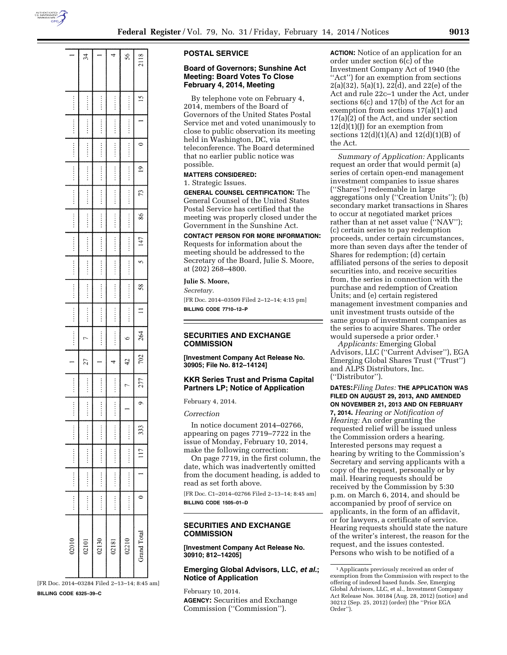

2118 4  $\frac{4}{3}$  $\frac{8}{5}$  $\overline{2}$  $\ddot{\circ}$  $\overline{\mathbf{C}}$ 73 ÷  $\frac{98}{2}$ ::::: 147  $\mathbf{\hat{z}}$ 58  $\equiv$ 264  $\ddot{\bullet}$  $\triangleright$ 702  $\overline{c}$  $\overline{27}$ 4 277  $\vdots$  $\overline{a}$  $\circ$  $\ddot{}}$ 333  $\overline{11}$  $\Rightarrow$ ļ Grand Total 02210  $\frac{30}{2}$ ē  $\overline{181}$ 0201  $\overline{\mathbb{S}}$  $\overline{\mathbb{S}}$  $\overline{\mathbb{S}}$ 

[FR Doc. 2014–03284 Filed 2–13–14; 8:45 am] **BILLING CODE 6325–39–C** 

### **POSTAL SERVICE**

### **Board of Governors; Sunshine Act Meeting: Board Votes To Close February 4, 2014, Meeting**

By telephone vote on February 4, 2014, members of the Board of Governors of the United States Postal Service met and voted unanimously to close to public observation its meeting held in Washington, DC, via teleconference. The Board determined that no earlier public notice was possible.

#### **MATTERS CONSIDERED:**

1. Strategic Issues.

**GENERAL COUNSEL CERTIFICATION:** The General Counsel of the United States Postal Service has certified that the meeting was properly closed under the Government in the Sunshine Act.

### **CONTACT PERSON FOR MORE INFORMATION:**

Requests for information about the meeting should be addressed to the Secretary of the Board, Julie S. Moore, at (202) 268–4800.

## **Julie S. Moore,**

*Secretary.* 

[FR Doc. 2014–03509 Filed 2–12–14; 4:15 pm] **BILLING CODE 7710–12–P** 

## **SECURITIES AND EXCHANGE COMMISSION**

**[Investment Company Act Release No. 30905; File No. 812–14124]** 

### **KKR Series Trust and Prisma Capital Partners LP; Notice of Application**

February 4, 2014.

*Correction* 

In notice document 2014–02766, appearing on pages 7719–7722 in the issue of Monday, February 10, 2014, make the following correction:

On page 7719, in the first column, the date, which was inadvertently omitted from the document heading, is added to read as set forth above.

[FR Doc. C1–2014–02766 Filed 2–13–14; 8:45 am] **BILLING CODE 1505–01–D** 

## **SECURITIES AND EXCHANGE COMMISSION**

**[Investment Company Act Release No. 30910; 812–14205]** 

## **Emerging Global Advisors, LLC,** *et al.***; Notice of Application**

February 10, 2014. **AGENCY:** Securities and Exchange Commission (''Commission'').

**ACTION:** Notice of an application for an order under section 6(c) of the Investment Company Act of 1940 (the "Act") for an exemption from sections  $2(a)(32), 5(a)(1), 22(d),$  and  $22(e)$  of the Act and rule 22c–1 under the Act, under sections 6(c) and 17(b) of the Act for an exemption from sections 17(a)(1) and 17(a)(2) of the Act, and under section  $12(d)(1)(J)$  for an exemption from sections  $12(d)(1)(A)$  and  $12(d)(1)(B)$  of the Act.

*Summary of Application:* Applicants request an order that would permit (a) series of certain open-end management investment companies to issue shares (''Shares'') redeemable in large aggregations only (''Creation Units''); (b) secondary market transactions in Shares to occur at negotiated market prices rather than at net asset value ("NAV"); (c) certain series to pay redemption proceeds, under certain circumstances, more than seven days after the tender of Shares for redemption; (d) certain affiliated persons of the series to deposit securities into, and receive securities from, the series in connection with the purchase and redemption of Creation Units; and (e) certain registered management investment companies and unit investment trusts outside of the same group of investment companies as the series to acquire Shares. The order would supersede a prior order.1

*Applicants:* Emerging Global Advisors, LLC (''Current Adviser''), EGA Emerging Global Shares Trust (''Trust'') and ALPS Distributors, Inc. (''Distributor'').

**DATES:***Filing Dates:* **THE APPLICATION WAS FILED ON AUGUST 29, 2013, AND AMENDED ON NOVEMBER 21, 2013 AND ON FEBRUARY 7, 2014.** *Hearing or Notification of Hearing:* An order granting the requested relief will be issued unless the Commission orders a hearing. Interested persons may request a hearing by writing to the Commission's Secretary and serving applicants with a copy of the request, personally or by mail. Hearing requests should be received by the Commission by 5:30 p.m. on March 6, 2014, and should be accompanied by proof of service on applicants, in the form of an affidavit, or for lawyers, a certificate of service. Hearing requests should state the nature of the writer's interest, the reason for the request, and the issues contested. Persons who wish to be notified of a

<sup>1</sup>Applicants previously received an order of exemption from the Commission with respect to the offering of indexed based funds. *See,* Emerging Global Advisors, LLC, et al., Investment Company Act Release Nos. 30184 (Aug. 28, 2012) (notice) and 30212 (Sep. 25, 2012) (order) (the ''Prior EGA Order'').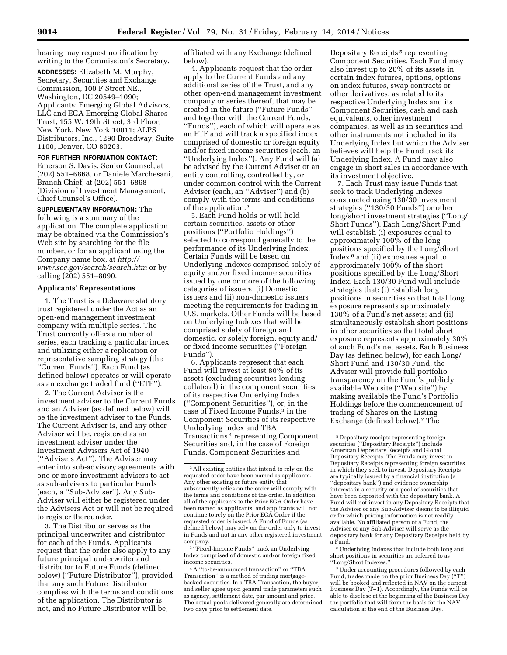hearing may request notification by writing to the Commission's Secretary.

**ADDRESSES:** Elizabeth M. Murphy, Secretary, Securities and Exchange Commission, 100 F Street NE., Washington, DC 20549–1090; Applicants: Emerging Global Advisors, LLC and EGA Emerging Global Shares Trust, 155 W. 19th Street, 3rd Floor, New York, New York 10011; ALPS Distributors, Inc., 1290 Broadway, Suite 1100, Denver, CO 80203.

**FOR FURTHER INFORMATION CONTACT:**  Emerson S. Davis, Senior Counsel, at (202) 551–6868, or Daniele Marchesani, Branch Chief, at (202) 551–6868 (Division of Investment Management, Chief Counsel's Office).

**SUPPLEMENTARY INFORMATION:** The following is a summary of the application. The complete application may be obtained via the Commission's Web site by searching for the file number, or for an applicant using the Company name box, at *[http://](http://www.sec.gov/search/search.htm) [www.sec.gov/search/search.htm](http://www.sec.gov/search/search.htm)* or by calling (202) 551–8090.

### **Applicants' Representations**

1. The Trust is a Delaware statutory trust registered under the Act as an open-end management investment company with multiple series. The Trust currently offers a number of series, each tracking a particular index and utilizing either a replication or representative sampling strategy (the ''Current Funds''). Each Fund (as defined below) operates or will operate as an exchange traded fund (''ETF'').

2. The Current Adviser is the investment adviser to the Current Funds and an Adviser (as defined below) will be the investment adviser to the Funds. The Current Adviser is, and any other Adviser will be, registered as an investment adviser under the Investment Advisers Act of 1940 (''Advisers Act''). The Adviser may enter into sub-advisory agreements with one or more investment advisers to act as sub-advisers to particular Funds (each, a ''Sub-Adviser''). Any Sub-Adviser will either be registered under the Advisers Act or will not be required to register thereunder.

3. The Distributor serves as the principal underwriter and distributor for each of the Funds. Applicants request that the order also apply to any future principal underwriter and distributor to Future Funds (defined below) (''Future Distributor''), provided that any such Future Distributor complies with the terms and conditions of the application. The Distributor is not, and no Future Distributor will be,

affiliated with any Exchange (defined below).

4. Applicants request that the order apply to the Current Funds and any additional series of the Trust, and any other open-end management investment company or series thereof, that may be created in the future (''Future Funds'' and together with the Current Funds, ''Funds''), each of which will operate as an ETF and will track a specified index comprised of domestic or foreign equity and/or fixed income securities (each, an ''Underlying Index''). Any Fund will (a) be advised by the Current Adviser or an entity controlling, controlled by, or under common control with the Current Adviser (each, an ''Adviser'') and (b) comply with the terms and conditions of the application.2

5. Each Fund holds or will hold certain securities, assets or other positions (''Portfolio Holdings'') selected to correspond generally to the performance of its Underlying Index. Certain Funds will be based on Underlying Indexes comprised solely of equity and/or fixed income securities issued by one or more of the following categories of issuers: (i) Domestic issuers and (ii) non-domestic issuers meeting the requirements for trading in U.S. markets. Other Funds will be based on Underlying Indexes that will be comprised solely of foreign and domestic, or solely foreign, equity and/ or fixed income securities (''Foreign Funds'').

6. Applicants represent that each Fund will invest at least 80% of its assets (excluding securities lending collateral) in the component securities of its respective Underlying Index (''Component Securities''), or, in the case of Fixed Income Funds,3 in the Component Securities of its respective Underlying Index and TBA Transactions 4 representing Component Securities and, in the case of Foreign Funds, Component Securities and

3 ''Fixed-Income Funds'' track an Underlying Index comprised of domestic and/or foreign fixed income securities.

Depositary Receipts 5 representing Component Securities. Each Fund may also invest up to 20% of its assets in certain index futures, options, options on index futures, swap contracts or other derivatives, as related to its respective Underlying Index and its Component Securities, cash and cash equivalents, other investment companies, as well as in securities and other instruments not included in its Underlying Index but which the Adviser believes will help the Fund track its Underlying Index. A Fund may also engage in short sales in accordance with its investment objective.

7. Each Trust may issue Funds that seek to track Underlying Indexes constructed using 130/30 investment strategies (''130/30 Funds'') or other long/short investment strategies (''Long/ Short Funds''). Each Long/Short Fund will establish (i) exposures equal to approximately 100% of the long positions specified by the Long/Short Index 6 and (ii) exposures equal to approximately 100% of the short positions specified by the Long/Short Index. Each 130/30 Fund will include strategies that: (i) Establish long positions in securities so that total long exposure represents approximately 130% of a Fund's net assets; and (ii) simultaneously establish short positions in other securities so that total short exposure represents approximately 30% of such Fund's net assets. Each Business Day (as defined below), for each Long/ Short Fund and 130/30 Fund, the Adviser will provide full portfolio transparency on the Fund's publicly available Web site (''Web site'') by making available the Fund's Portfolio Holdings before the commencement of trading of Shares on the Listing Exchange (defined below).7 The

6Underlying Indexes that include both long and short positions in securities are referred to as ''Long/Short Indexes.''

<sup>2</sup>All existing entities that intend to rely on the requested order have been named as applicants. Any other existing or future entity that subsequently relies on the order will comply with the terms and conditions of the order. In addition, all of the applicants to the Prior EGA Order have been named as applicants, and applicants will not continue to rely on the Prior EGA Order if the requested order is issued. A Fund of Funds (as defined below) may rely on the order only to invest in Funds and not in any other registered investment company.

<sup>4</sup>A ''to-be-announced transaction'' or ''TBA Transaction'' is a method of trading mortgagebacked securities. In a TBA Transaction, the buyer and seller agree upon general trade parameters such as agency, settlement date, par amount and price. The actual pools delivered generally are determined two days prior to settlement date.

<sup>5</sup> Depositary receipts representing foreign securities (''Depositary Receipts'') include American Depositary Receipts and Global Depositary Receipts. The Funds may invest in Depositary Receipts representing foreign securities in which they seek to invest. Depositary Receipts are typically issued by a financial institution (a ''depositary bank'') and evidence ownership interests in a security or a pool of securities that have been deposited with the depositary bank. A Fund will not invest in any Depositary Receipts that the Adviser or any Sub-Adviser deems to be illiquid or for which pricing information is not readily available. No affiliated person of a Fund, the Adviser or any Sub-Adviser will serve as the depositary bank for any Depositary Receipts held by a Fund.

<sup>7</sup>Under accounting procedures followed by each Fund, trades made on the prior Business Day (''T'') will be booked and reflected in NAV on the current Business Day (T+1). Accordingly, the Funds will be able to disclose at the beginning of the Business Day the portfolio that will form the basis for the NAV calculation at the end of the Business Day.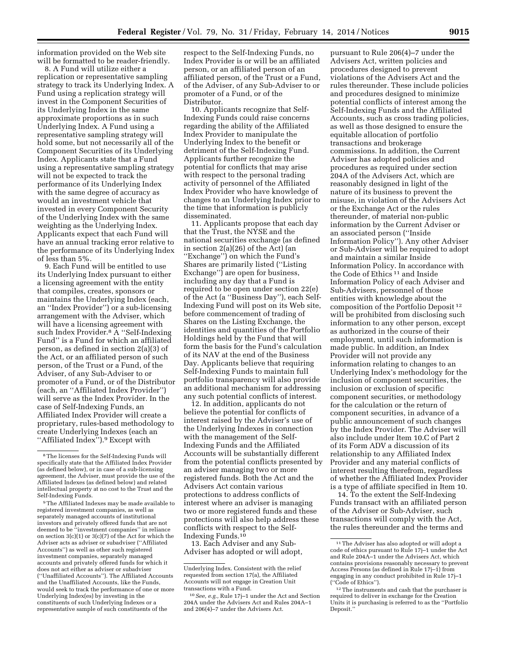information provided on the Web site will be formatted to be reader-friendly.

8. A Fund will utilize either a replication or representative sampling strategy to track its Underlying Index. A Fund using a replication strategy will invest in the Component Securities of its Underlying Index in the same approximate proportions as in such Underlying Index. A Fund using a representative sampling strategy will hold some, but not necessarily all of the Component Securities of its Underlying Index. Applicants state that a Fund using a representative sampling strategy will not be expected to track the performance of its Underlying Index with the same degree of accuracy as would an investment vehicle that invested in every Component Security of the Underlying Index with the same weighting as the Underlying Index. Applicants expect that each Fund will have an annual tracking error relative to the performance of its Underlying Index of less than 5%.

9. Each Fund will be entitled to use its Underlying Index pursuant to either a licensing agreement with the entity that compiles, creates, sponsors or maintains the Underlying Index (each, an ''Index Provider'') or a sub-licensing arrangement with the Adviser, which will have a licensing agreement with such Index Provider.8 A ''Self-Indexing Fund'' is a Fund for which an affiliated person, as defined in section 2(a)(3) of the Act, or an affiliated person of such person, of the Trust or a Fund, of the Adviser, of any Sub-Adviser to or promoter of a Fund, or of the Distributor (each, an ''Affiliated Index Provider'') will serve as the Index Provider. In the case of Self-Indexing Funds, an Affiliated Index Provider will create a proprietary, rules-based methodology to create Underlying Indexes (each an "Affiliated Index").<sup>9</sup> Except with

respect to the Self-Indexing Funds, no Index Provider is or will be an affiliated person, or an affiliated person of an affiliated person, of the Trust or a Fund, of the Adviser, of any Sub-Adviser to or promoter of a Fund, or of the Distributor.

10. Applicants recognize that Self-Indexing Funds could raise concerns regarding the ability of the Affiliated Index Provider to manipulate the Underlying Index to the benefit or detriment of the Self-Indexing Fund. Applicants further recognize the potential for conflicts that may arise with respect to the personal trading activity of personnel of the Affiliated Index Provider who have knowledge of changes to an Underlying Index prior to the time that information is publicly disseminated.

11. Applicants propose that each day that the Trust, the NYSE and the national securities exchange (as defined in section 2(a)(26) of the Act) (an ''Exchange'') on which the Fund's Shares are primarily listed (''Listing Exchange'') are open for business, including any day that a Fund is required to be open under section 22(e) of the Act (a ''Business Day''), each Self-Indexing Fund will post on its Web site, before commencement of trading of Shares on the Listing Exchange, the identities and quantities of the Portfolio Holdings held by the Fund that will form the basis for the Fund's calculation of its NAV at the end of the Business Day. Applicants believe that requiring Self-Indexing Funds to maintain full portfolio transparency will also provide an additional mechanism for addressing any such potential conflicts of interest.

12. In addition, applicants do not believe the potential for conflicts of interest raised by the Adviser's use of the Underlying Indexes in connection with the management of the Self-Indexing Funds and the Affiliated Accounts will be substantially different from the potential conflicts presented by an adviser managing two or more registered funds. Both the Act and the Advisers Act contain various protections to address conflicts of interest where an adviser is managing two or more registered funds and these protections will also help address these conflicts with respect to the Self-Indexing Funds.10

13. Each Adviser and any Sub-Adviser has adopted or will adopt,

pursuant to Rule 206(4)–7 under the Advisers Act, written policies and procedures designed to prevent violations of the Advisers Act and the rules thereunder. These include policies and procedures designed to minimize potential conflicts of interest among the Self-Indexing Funds and the Affiliated Accounts, such as cross trading policies, as well as those designed to ensure the equitable allocation of portfolio transactions and brokerage commissions. In addition, the Current Adviser has adopted policies and procedures as required under section 204A of the Advisers Act, which are reasonably designed in light of the nature of its business to prevent the misuse, in violation of the Advisers Act or the Exchange Act or the rules thereunder, of material non-public information by the Current Adviser or an associated person (''Inside Information Policy''). Any other Adviser or Sub-Adviser will be required to adopt and maintain a similar Inside Information Policy. In accordance with the Code of Ethics 11 and Inside Information Policy of each Adviser and Sub-Advisers, personnel of those entities with knowledge about the composition of the Portfolio Deposit 12 will be prohibited from disclosing such information to any other person, except as authorized in the course of their employment, until such information is made public. In addition, an Index Provider will not provide any information relating to changes to an Underlying Index's methodology for the inclusion of component securities, the inclusion or exclusion of specific component securities, or methodology for the calculation or the return of component securities, in advance of a public announcement of such changes by the Index Provider. The Adviser will also include under Item 10.C of Part 2 of its Form ADV a discussion of its relationship to any Affiliated Index Provider and any material conflicts of interest resulting therefrom, regardless of whether the Affiliated Index Provider is a type of affiliate specified in Item 10.

14. To the extent the Self-Indexing Funds transact with an affiliated person of the Adviser or Sub-Adviser, such transactions will comply with the Act, the rules thereunder and the terms and

<sup>8</sup>The licenses for the Self-Indexing Funds will specifically state that the Affiliated Index Provider (as defined below), or in case of a sub-licensing agreement, the Adviser, must provide the use of the Affiliated Indexes (as defined below) and related intellectual property at no cost to the Trust and the Self-Indexing Funds.

<sup>9</sup>The Affiliated Indexes may be made available to registered investment companies, as well as separately managed accounts of institutional investors and privately offered funds that are not deemed to be ''investment companies'' in reliance on section 3(c)(1) or 3(c)(7) of the Act for which the Adviser acts as adviser or subadviser (''Affiliated Accounts'') as well as other such registered investment companies, separately managed accounts and privately offered funds for which it does not act either as adviser or subadviser (''Unaffiliated Accounts''). The Affiliated Accounts and the Unaffiliated Accounts, like the Funds, would seek to track the performance of one or more Underlying Index(es) by investing in the constituents of such Underlying Indexes or a representative sample of such constituents of the

Underlying Index. Consistent with the relief requested from section 17(a), the Affiliated Accounts will not engage in Creation Unit transactions with a Fund.

<sup>10</sup>*See, e.g.,* Rule 17j–1 under the Act and Section 204A under the Advisers Act and Rules 204A–1 and 206(4)–7 under the Advisers Act.

<sup>11</sup>The Adviser has also adopted or will adopt a code of ethics pursuant to Rule 17j–1 under the Act and Rule 204A–1 under the Advisers Act, which contains provisions reasonably necessary to prevent Access Persons (as defined in Rule 17j–1) from engaging in any conduct prohibited in Rule 17j–1

 $12$  The instruments and cash that the purchaser is required to deliver in exchange for the Creation Units it is purchasing is referred to as the ''Portfolio Deposit.'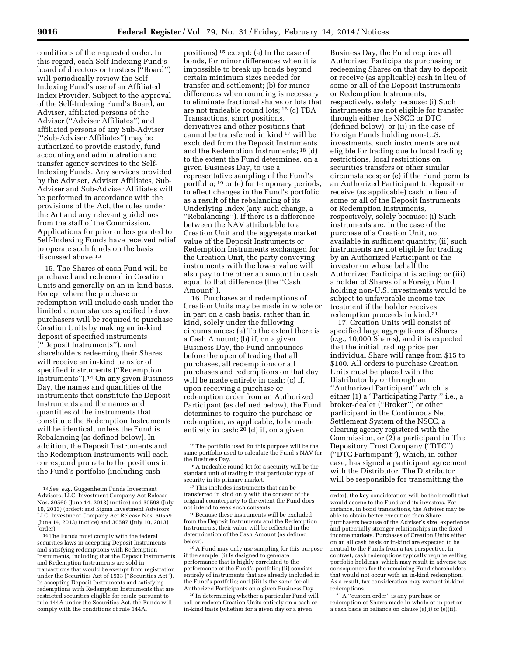conditions of the requested order. In this regard, each Self-Indexing Fund's board of directors or trustees (''Board'') will periodically review the Self-Indexing Fund's use of an Affiliated Index Provider. Subject to the approval of the Self-Indexing Fund's Board, an Adviser, affiliated persons of the Adviser (''Adviser Affiliates'') and affiliated persons of any Sub-Adviser (''Sub-Adviser Affiliates'') may be authorized to provide custody, fund accounting and administration and transfer agency services to the Self-Indexing Funds. Any services provided by the Adviser, Adviser Affiliates, Sub-Adviser and Sub-Adviser Affiliates will be performed in accordance with the provisions of the Act, the rules under the Act and any relevant guidelines from the staff of the Commission. Applications for prior orders granted to Self-Indexing Funds have received relief to operate such funds on the basis discussed above.<sup>13</sup>

15. The Shares of each Fund will be purchased and redeemed in Creation Units and generally on an in-kind basis. Except where the purchase or redemption will include cash under the limited circumstances specified below, purchasers will be required to purchase Creation Units by making an in-kind deposit of specified instruments (''Deposit Instruments''), and shareholders redeeming their Shares will receive an in-kind transfer of specified instruments (''Redemption Instruments'').14 On any given Business Day, the names and quantities of the instruments that constitute the Deposit Instruments and the names and quantities of the instruments that constitute the Redemption Instruments will be identical, unless the Fund is Rebalancing (as defined below). In addition, the Deposit Instruments and the Redemption Instruments will each correspond pro rata to the positions in the Fund's portfolio (including cash

positions) 15 except: (a) In the case of bonds, for minor differences when it is impossible to break up bonds beyond certain minimum sizes needed for transfer and settlement; (b) for minor differences when rounding is necessary to eliminate fractional shares or lots that are not tradeable round lots; 16 (c) TBA Transactions, short positions, derivatives and other positions that cannot be transferred in kind 17 will be excluded from the Deposit Instruments and the Redemption Instruments; 18 (d) to the extent the Fund determines, on a given Business Day, to use a representative sampling of the Fund's portfolio; 19 or (e) for temporary periods, to effect changes in the Fund's portfolio as a result of the rebalancing of its Underlying Index (any such change, a ''Rebalancing''). If there is a difference between the NAV attributable to a Creation Unit and the aggregate market value of the Deposit Instruments or Redemption Instruments exchanged for the Creation Unit, the party conveying instruments with the lower value will also pay to the other an amount in cash equal to that difference (the ''Cash Amount'').

16. Purchases and redemptions of Creation Units may be made in whole or in part on a cash basis, rather than in kind, solely under the following circumstances: (a) To the extent there is a Cash Amount; (b) if, on a given Business Day, the Fund announces before the open of trading that all purchases, all redemptions or all purchases and redemptions on that day will be made entirely in cash; (c) if, upon receiving a purchase or redemption order from an Authorized Participant (as defined below), the Fund determines to require the purchase or redemption, as applicable, to be made entirely in cash; 20 (d) if, on a given

20 In determining whether a particular Fund will sell or redeem Creation Units entirely on a cash or in-kind basis (whether for a given day or a given

Business Day, the Fund requires all Authorized Participants purchasing or redeeming Shares on that day to deposit or receive (as applicable) cash in lieu of some or all of the Deposit Instruments or Redemption Instruments, respectively, solely because: (i) Such instruments are not eligible for transfer through either the NSCC or DTC (defined below); or (ii) in the case of Foreign Funds holding non-U.S. investments, such instruments are not eligible for trading due to local trading restrictions, local restrictions on securities transfers or other similar circumstances; or (e) if the Fund permits an Authorized Participant to deposit or receive (as applicable) cash in lieu of some or all of the Deposit Instruments or Redemption Instruments, respectively, solely because: (i) Such instruments are, in the case of the purchase of a Creation Unit, not available in sufficient quantity; (ii) such instruments are not eligible for trading by an Authorized Participant or the investor on whose behalf the Authorized Participant is acting; or (iii) a holder of Shares of a Foreign Fund holding non-U.S. investments would be subject to unfavorable income tax treatment if the holder receives redemption proceeds in kind.21

17. Creation Units will consist of specified large aggregations of Shares (*e.g.,* 10,000 Shares), and it is expected that the initial trading price per individual Share will range from \$15 to \$100. All orders to purchase Creation Units must be placed with the Distributor by or through an ''Authorized Participant'' which is either (1) a ''Participating Party,'' i.e., a broker-dealer (''Broker'') or other participant in the Continuous Net Settlement System of the NSCC, a clearing agency registered with the Commission, or (2) a participant in The Depository Trust Company (''DTC'') (''DTC Participant''), which, in either case, has signed a participant agreement with the Distributor. The Distributor will be responsible for transmitting the

<sup>21</sup> A "custom order" is any purchase or redemption of Shares made in whole or in part on a cash basis in reliance on clause (e)(i) or (e)(ii).

<sup>13</sup>*See, e.g.,* Guggenheim Funds Investment Advisors, LLC, Investment Company Act Release Nos. 30560 (June 14, 2013) (notice) and 30598 (July 10, 2013) (order); and Sigma Investment Advisors, LLC, Investment Company Act Release Nos. 30559 (June 14, 2013) (notice) and 30597 (July 10, 2013) (order).

<sup>14</sup>The Funds must comply with the federal securities laws in accepting Deposit Instruments and satisfying redemptions with Redemption Instruments, including that the Deposit Instruments and Redemption Instruments are sold in transactions that would be exempt from registration under the Securities Act of 1933 (''Securities Act''). In accepting Deposit Instruments and satisfying redemptions with Redemption Instruments that are restricted securities eligible for resale pursuant to rule 144A under the Securities Act, the Funds will comply with the conditions of rule 144A.

<sup>15</sup>The portfolio used for this purpose will be the same portfolio used to calculate the Fund's NAV for the Business Day.

<sup>&</sup>lt;sup>16</sup> A tradeable round lot for a security will be the standard unit of trading in that particular type of security in its primary market.

<sup>17</sup>This includes instruments that can be transferred in kind only with the consent of the original counterparty to the extent the Fund does not intend to seek such consents.

<sup>18</sup>Because these instruments will be excluded from the Deposit Instruments and the Redemption Instruments, their value will be reflected in the determination of the Cash Amount (as defined below).

<sup>19</sup>A Fund may only use sampling for this purpose if the sample: (i) Is designed to generate performance that is highly correlated to the performance of the Fund's portfolio; (ii) consists entirely of instruments that are already included in the Fund's portfolio; and (iii) is the same for all Authorized Participants on a given Business Day.

order), the key consideration will be the benefit that would accrue to the Fund and its investors. For instance, in bond transactions, the Adviser may be able to obtain better execution than Share purchasers because of the Adviser's size, experience and potentially stronger relationships in the fixed income markets. Purchases of Creation Units either on an all cash basis or in-kind are expected to be neutral to the Funds from a tax perspective. In contrast, cash redemptions typically require selling portfolio holdings, which may result in adverse tax consequences for the remaining Fund shareholders that would not occur with an in-kind redemption. As a result, tax consideration may warrant in-kind redemptions.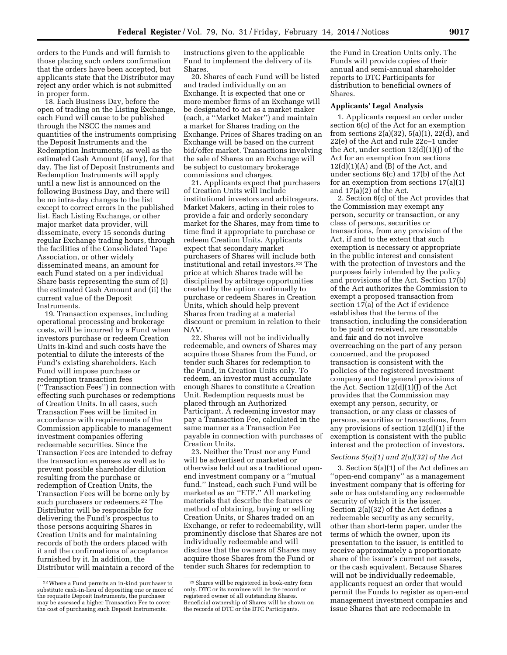orders to the Funds and will furnish to those placing such orders confirmation that the orders have been accepted, but applicants state that the Distributor may reject any order which is not submitted in proper form.

18. Each Business Day, before the open of trading on the Listing Exchange, each Fund will cause to be published through the NSCC the names and quantities of the instruments comprising the Deposit Instruments and the Redemption Instruments, as well as the estimated Cash Amount (if any), for that day. The list of Deposit Instruments and Redemption Instruments will apply until a new list is announced on the following Business Day, and there will be no intra-day changes to the list except to correct errors in the published list. Each Listing Exchange, or other major market data provider, will disseminate, every 15 seconds during regular Exchange trading hours, through the facilities of the Consolidated Tape Association, or other widely disseminated means, an amount for each Fund stated on a per individual Share basis representing the sum of (i) the estimated Cash Amount and (ii) the current value of the Deposit Instruments.

19. Transaction expenses, including operational processing and brokerage costs, will be incurred by a Fund when investors purchase or redeem Creation Units in-kind and such costs have the potential to dilute the interests of the Fund's existing shareholders. Each Fund will impose purchase or redemption transaction fees (''Transaction Fees'') in connection with effecting such purchases or redemptions of Creation Units. In all cases, such Transaction Fees will be limited in accordance with requirements of the Commission applicable to management investment companies offering redeemable securities. Since the Transaction Fees are intended to defray the transaction expenses as well as to prevent possible shareholder dilution resulting from the purchase or redemption of Creation Units, the Transaction Fees will be borne only by such purchasers or redeemers.<sup>22</sup> The Distributor will be responsible for delivering the Fund's prospectus to those persons acquiring Shares in Creation Units and for maintaining records of both the orders placed with it and the confirmations of acceptance furnished by it. In addition, the Distributor will maintain a record of the

instructions given to the applicable Fund to implement the delivery of its Shares.

20. Shares of each Fund will be listed and traded individually on an Exchange. It is expected that one or more member firms of an Exchange will be designated to act as a market maker (each, a ''Market Maker'') and maintain a market for Shares trading on the Exchange. Prices of Shares trading on an Exchange will be based on the current bid/offer market. Transactions involving the sale of Shares on an Exchange will be subject to customary brokerage commissions and charges.

21. Applicants expect that purchasers of Creation Units will include institutional investors and arbitrageurs. Market Makers, acting in their roles to provide a fair and orderly secondary market for the Shares, may from time to time find it appropriate to purchase or redeem Creation Units. Applicants expect that secondary market purchasers of Shares will include both institutional and retail investors.23 The price at which Shares trade will be disciplined by arbitrage opportunities created by the option continually to purchase or redeem Shares in Creation Units, which should help prevent Shares from trading at a material discount or premium in relation to their NAV.

22. Shares will not be individually redeemable, and owners of Shares may acquire those Shares from the Fund, or tender such Shares for redemption to the Fund, in Creation Units only. To redeem, an investor must accumulate enough Shares to constitute a Creation Unit. Redemption requests must be placed through an Authorized Participant. A redeeming investor may pay a Transaction Fee, calculated in the same manner as a Transaction Fee payable in connection with purchases of Creation Units.

23. Neither the Trust nor any Fund will be advertised or marketed or otherwise held out as a traditional openend investment company or a ''mutual fund.'' Instead, each such Fund will be marketed as an ''ETF.'' All marketing materials that describe the features or method of obtaining, buying or selling Creation Units, or Shares traded on an Exchange, or refer to redeemability, will prominently disclose that Shares are not individually redeemable and will disclose that the owners of Shares may acquire those Shares from the Fund or tender such Shares for redemption to

the Fund in Creation Units only. The Funds will provide copies of their annual and semi-annual shareholder reports to DTC Participants for distribution to beneficial owners of Shares.

#### **Applicants' Legal Analysis**

1. Applicants request an order under section 6(c) of the Act for an exemption from sections  $2(a)(32)$ ,  $5(a)(1)$ ,  $22(d)$ , and 22(e) of the Act and rule 22c–1 under the Act, under section  $12(d)(1)(J)$  of the Act for an exemption from sections  $12(d)(1)(A)$  and  $(B)$  of the Act, and under sections 6(c) and 17(b) of the Act for an exemption from sections 17(a)(1) and  $17(a)(2)$  of the Act.

2. Section 6(c) of the Act provides that the Commission may exempt any person, security or transaction, or any class of persons, securities or transactions, from any provision of the Act, if and to the extent that such exemption is necessary or appropriate in the public interest and consistent with the protection of investors and the purposes fairly intended by the policy and provisions of the Act. Section 17(b) of the Act authorizes the Commission to exempt a proposed transaction from section 17(a) of the Act if evidence establishes that the terms of the transaction, including the consideration to be paid or received, are reasonable and fair and do not involve overreaching on the part of any person concerned, and the proposed transaction is consistent with the policies of the registered investment company and the general provisions of the Act. Section 12(d)(1)(J) of the Act provides that the Commission may exempt any person, security, or transaction, or any class or classes of persons, securities or transactions, from any provisions of section  $12(d)(1)$  if the exemption is consistent with the public interest and the protection of investors.

#### *Sections 5(a)(1) and 2(a)(32) of the Act*

3. Section 5(a)(1) of the Act defines an ''open-end company'' as a management investment company that is offering for sale or has outstanding any redeemable security of which it is the issuer. Section 2(a)(32) of the Act defines a redeemable security as any security, other than short-term paper, under the terms of which the owner, upon its presentation to the issuer, is entitled to receive approximately a proportionate share of the issuer's current net assets, or the cash equivalent. Because Shares will not be individually redeemable, applicants request an order that would permit the Funds to register as open-end management investment companies and issue Shares that are redeemable in

<sup>22</sup>Where a Fund permits an in-kind purchaser to substitute cash-in-lieu of depositing one or more of the requisite Deposit Instruments, the purchaser may be assessed a higher Transaction Fee to cover the cost of purchasing such Deposit Instruments.

<sup>23</sup>Shares will be registered in book-entry form only. DTC or its nominee will be the record or registered owner of all outstanding Shares. Beneficial ownership of Shares will be shown on the records of DTC or the DTC Participants.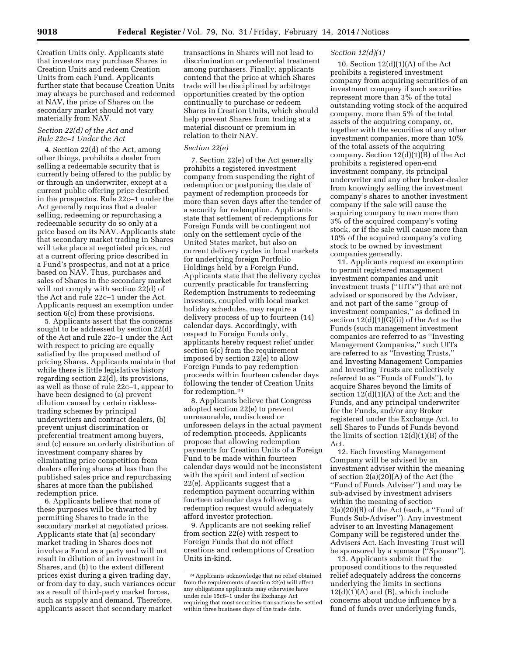Creation Units only. Applicants state that investors may purchase Shares in Creation Units and redeem Creation Units from each Fund. Applicants further state that because Creation Units may always be purchased and redeemed at NAV, the price of Shares on the secondary market should not vary materially from NAV.

## *Section 22(d) of the Act and Rule 22c–1 Under the Act*

4. Section 22(d) of the Act, among other things, prohibits a dealer from selling a redeemable security that is currently being offered to the public by or through an underwriter, except at a current public offering price described in the prospectus. Rule 22c–1 under the Act generally requires that a dealer selling, redeeming or repurchasing a redeemable security do so only at a price based on its NAV. Applicants state that secondary market trading in Shares will take place at negotiated prices, not at a current offering price described in a Fund's prospectus, and not at a price based on NAV. Thus, purchases and sales of Shares in the secondary market will not comply with section 22(d) of the Act and rule 22c–1 under the Act. Applicants request an exemption under section 6(c) from these provisions.

5. Applicants assert that the concerns sought to be addressed by section 22(d) of the Act and rule 22c–1 under the Act with respect to pricing are equally satisfied by the proposed method of pricing Shares. Applicants maintain that while there is little legislative history regarding section 22(d), its provisions, as well as those of rule 22c–1, appear to have been designed to (a) prevent dilution caused by certain risklesstrading schemes by principal underwriters and contract dealers, (b) prevent unjust discrimination or preferential treatment among buyers, and (c) ensure an orderly distribution of investment company shares by eliminating price competition from dealers offering shares at less than the published sales price and repurchasing shares at more than the published redemption price.

6. Applicants believe that none of these purposes will be thwarted by permitting Shares to trade in the secondary market at negotiated prices. Applicants state that (a) secondary market trading in Shares does not involve a Fund as a party and will not result in dilution of an investment in Shares, and (b) to the extent different prices exist during a given trading day, or from day to day, such variances occur as a result of third-party market forces, such as supply and demand. Therefore, applicants assert that secondary market

transactions in Shares will not lead to discrimination or preferential treatment among purchasers. Finally, applicants contend that the price at which Shares trade will be disciplined by arbitrage opportunities created by the option continually to purchase or redeem Shares in Creation Units, which should help prevent Shares from trading at a material discount or premium in relation to their NAV.

### *Section 22(e)*

7. Section 22(e) of the Act generally prohibits a registered investment company from suspending the right of redemption or postponing the date of payment of redemption proceeds for more than seven days after the tender of a security for redemption. Applicants state that settlement of redemptions for Foreign Funds will be contingent not only on the settlement cycle of the United States market, but also on current delivery cycles in local markets for underlying foreign Portfolio Holdings held by a Foreign Fund. Applicants state that the delivery cycles currently practicable for transferring Redemption Instruments to redeeming investors, coupled with local market holiday schedules, may require a delivery process of up to fourteen (14) calendar days. Accordingly, with respect to Foreign Funds only, applicants hereby request relief under section 6(c) from the requirement imposed by section 22(e) to allow Foreign Funds to pay redemption proceeds within fourteen calendar days following the tender of Creation Units for redemption.24

8. Applicants believe that Congress adopted section 22(e) to prevent unreasonable, undisclosed or unforeseen delays in the actual payment of redemption proceeds. Applicants propose that allowing redemption payments for Creation Units of a Foreign Fund to be made within fourteen calendar days would not be inconsistent with the spirit and intent of section 22(e). Applicants suggest that a redemption payment occurring within fourteen calendar days following a redemption request would adequately afford investor protection.

9. Applicants are not seeking relief from section 22(e) with respect to Foreign Funds that do not effect creations and redemptions of Creation Units in-kind.

### *Section 12(d)(1)*

10. Section  $12(d)(1)(A)$  of the Act prohibits a registered investment company from acquiring securities of an investment company if such securities represent more than 3% of the total outstanding voting stock of the acquired company, more than 5% of the total assets of the acquiring company, or, together with the securities of any other investment companies, more than 10% of the total assets of the acquiring company. Section 12(d)(1)(B) of the Act prohibits a registered open-end investment company, its principal underwriter and any other broker-dealer from knowingly selling the investment company's shares to another investment company if the sale will cause the acquiring company to own more than 3% of the acquired company's voting stock, or if the sale will cause more than 10% of the acquired company's voting stock to be owned by investment companies generally.

11. Applicants request an exemption to permit registered management investment companies and unit investment trusts (''UITs'') that are not advised or sponsored by the Adviser, and not part of the same ''group of investment companies,'' as defined in section 12(d)(1)(G)(ii) of the Act as the Funds (such management investment companies are referred to as ''Investing Management Companies,'' such UITs are referred to as ''Investing Trusts,'' and Investing Management Companies and Investing Trusts are collectively referred to as ''Funds of Funds''), to acquire Shares beyond the limits of section  $12(d)(1)(A)$  of the Act; and the Funds, and any principal underwriter for the Funds, and/or any Broker registered under the Exchange Act, to sell Shares to Funds of Funds beyond the limits of section  $12(d)(1)(B)$  of the Act.

12. Each Investing Management Company will be advised by an investment adviser within the meaning of section 2(a)(20)(A) of the Act (the ''Fund of Funds Adviser'') and may be sub-advised by investment advisers within the meaning of section 2(a)(20)(B) of the Act (each, a ''Fund of Funds Sub-Adviser''). Any investment adviser to an Investing Management Company will be registered under the Advisers Act. Each Investing Trust will be sponsored by a sponsor (''Sponsor'').

13. Applicants submit that the proposed conditions to the requested relief adequately address the concerns underlying the limits in sections  $12(d)(1)(A)$  and  $(B)$ , which include concerns about undue influence by a fund of funds over underlying funds,

<sup>24</sup>Applicants acknowledge that no relief obtained from the requirements of section 22(e) will affect any obligations applicants may otherwise have under rule 15c6–1 under the Exchange Act requiring that most securities transactions be settled within three business days of the trade date.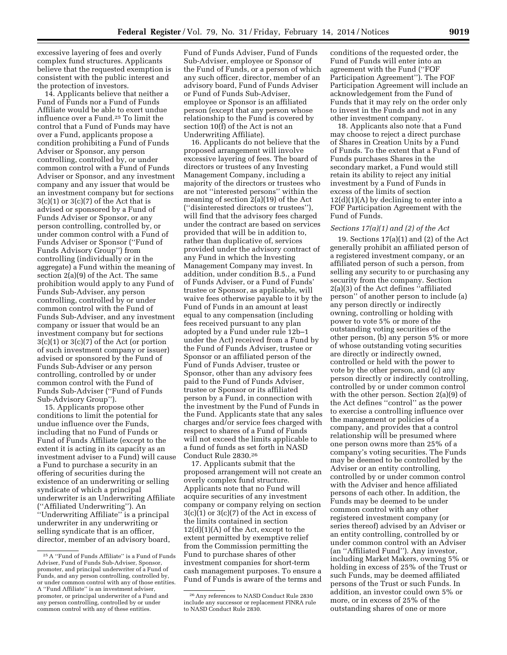excessive layering of fees and overly complex fund structures. Applicants believe that the requested exemption is consistent with the public interest and the protection of investors.

14. Applicants believe that neither a Fund of Funds nor a Fund of Funds Affiliate would be able to exert undue influence over a Fund.25 To limit the control that a Fund of Funds may have over a Fund, applicants propose a condition prohibiting a Fund of Funds Adviser or Sponsor, any person controlling, controlled by, or under common control with a Fund of Funds Adviser or Sponsor, and any investment company and any issuer that would be an investment company but for sections  $3(c)(1)$  or  $3(c)(7)$  of the Act that is advised or sponsored by a Fund of Funds Adviser or Sponsor, or any person controlling, controlled by, or under common control with a Fund of Funds Adviser or Sponsor (''Fund of Funds Advisory Group'') from controlling (individually or in the aggregate) a Fund within the meaning of section 2(a)(9) of the Act. The same prohibition would apply to any Fund of Funds Sub-Adviser, any person controlling, controlled by or under common control with the Fund of Funds Sub-Adviser, and any investment company or issuer that would be an investment company but for sections 3(c)(1) or 3(c)(7) of the Act (or portion of such investment company or issuer) advised or sponsored by the Fund of Funds Sub-Adviser or any person controlling, controlled by or under common control with the Fund of Funds Sub-Adviser (''Fund of Funds Sub-Advisory Group'').

15. Applicants propose other conditions to limit the potential for undue influence over the Funds, including that no Fund of Funds or Fund of Funds Affiliate (except to the extent it is acting in its capacity as an investment adviser to a Fund) will cause a Fund to purchase a security in an offering of securities during the existence of an underwriting or selling syndicate of which a principal underwriter is an Underwriting Affiliate (''Affiliated Underwriting''). An ''Underwriting Affiliate'' is a principal underwriter in any underwriting or selling syndicate that is an officer, director, member of an advisory board,

Fund of Funds Adviser, Fund of Funds Sub-Adviser, employee or Sponsor of the Fund of Funds, or a person of which any such officer, director, member of an advisory board, Fund of Funds Adviser or Fund of Funds Sub-Adviser, employee or Sponsor is an affiliated person (except that any person whose relationship to the Fund is covered by section 10(f) of the Act is not an Underwriting Affiliate).

16. Applicants do not believe that the proposed arrangement will involve excessive layering of fees. The board of directors or trustees of any Investing Management Company, including a majority of the directors or trustees who are not ''interested persons'' within the meaning of section 2(a)(19) of the Act (''disinterested directors or trustees''), will find that the advisory fees charged under the contract are based on services provided that will be in addition to, rather than duplicative of, services provided under the advisory contract of any Fund in which the Investing Management Company may invest. In addition, under condition B.5., a Fund of Funds Adviser, or a Fund of Funds' trustee or Sponsor, as applicable, will waive fees otherwise payable to it by the Fund of Funds in an amount at least equal to any compensation (including fees received pursuant to any plan adopted by a Fund under rule 12b–1 under the Act) received from a Fund by the Fund of Funds Adviser, trustee or Sponsor or an affiliated person of the Fund of Funds Adviser, trustee or Sponsor, other than any advisory fees paid to the Fund of Funds Adviser, trustee or Sponsor or its affiliated person by a Fund, in connection with the investment by the Fund of Funds in the Fund. Applicants state that any sales charges and/or service fees charged with respect to shares of a Fund of Funds will not exceed the limits applicable to a fund of funds as set forth in NASD Conduct Rule 2830.26

17. Applicants submit that the proposed arrangement will not create an overly complex fund structure. Applicants note that no Fund will acquire securities of any investment company or company relying on section  $3(c)(1)$  or  $3(c)(7)$  of the Act in excess of the limits contained in section  $12(d)(1)(A)$  of the Act, except to the extent permitted by exemptive relief from the Commission permitting the Fund to purchase shares of other investment companies for short-term cash management purposes. To ensure a Fund of Funds is aware of the terms and

conditions of the requested order, the Fund of Funds will enter into an agreement with the Fund (''FOF Participation Agreement''). The FOF Participation Agreement will include an acknowledgement from the Fund of Funds that it may rely on the order only to invest in the Funds and not in any other investment company.

18. Applicants also note that a Fund may choose to reject a direct purchase of Shares in Creation Units by a Fund of Funds. To the extent that a Fund of Funds purchases Shares in the secondary market, a Fund would still retain its ability to reject any initial investment by a Fund of Funds in excess of the limits of section  $12(d)(1)(A)$  by declining to enter into a FOF Participation Agreement with the Fund of Funds.

#### *Sections 17(a)(1) and (2) of the Act*

19. Sections 17(a)(1) and (2) of the Act generally prohibit an affiliated person of a registered investment company, or an affiliated person of such a person, from selling any security to or purchasing any security from the company. Section 2(a)(3) of the Act defines ''affiliated person'' of another person to include (a) any person directly or indirectly owning, controlling or holding with power to vote 5% or more of the outstanding voting securities of the other person, (b) any person 5% or more of whose outstanding voting securities are directly or indirectly owned, controlled or held with the power to vote by the other person, and (c) any person directly or indirectly controlling, controlled by or under common control with the other person. Section 2(a)(9) of the Act defines ''control'' as the power to exercise a controlling influence over the management or policies of a company, and provides that a control relationship will be presumed where one person owns more than 25% of a company's voting securities. The Funds may be deemed to be controlled by the Adviser or an entity controlling, controlled by or under common control with the Adviser and hence affiliated persons of each other. In addition, the Funds may be deemed to be under common control with any other registered investment company (or series thereof) advised by an Adviser or an entity controlling, controlled by or under common control with an Adviser (an ''Affiliated Fund''). Any investor, including Market Makers, owning 5% or holding in excess of 25% of the Trust or such Funds, may be deemed affiliated persons of the Trust or such Funds. In addition, an investor could own 5% or more, or in excess of 25% of the outstanding shares of one or more

<sup>25</sup>A ''Fund of Funds Affiliate'' is a Fund of Funds Adviser, Fund of Funds Sub-Adviser, Sponsor, promoter, and principal underwriter of a Fund of Funds, and any person controlling, controlled by, or under common control with any of those entities. A ''Fund Affiliate'' is an investment adviser, promoter, or principal underwriter of a Fund and any person controlling, controlled by or under common control with any of these entities.

<sup>26</sup>Any references to NASD Conduct Rule 2830 include any successor or replacement FINRA rule to NASD Conduct Rule 2830.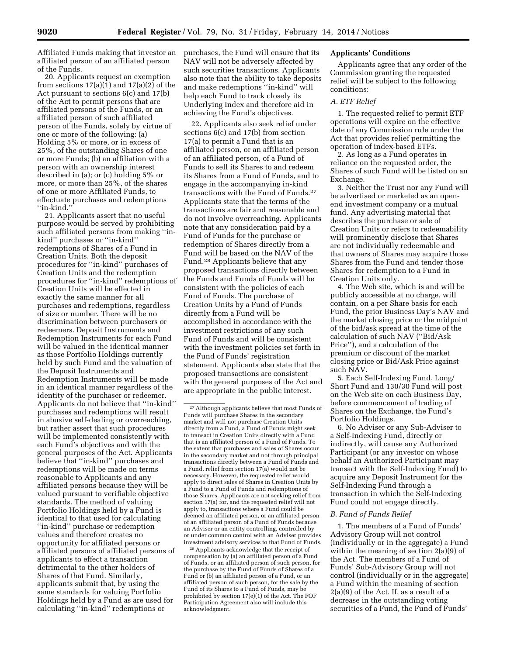Affiliated Funds making that investor an affiliated person of an affiliated person of the Funds.

20. Applicants request an exemption from sections  $17(a)(1)$  and  $17(a)(2)$  of the Act pursuant to sections 6(c) and 17(b) of the Act to permit persons that are affiliated persons of the Funds, or an affiliated person of such affiliated person of the Funds, solely by virtue of one or more of the following: (a) Holding 5% or more, or in excess of 25%, of the outstanding Shares of one or more Funds; (b) an affiliation with a person with an ownership interest described in (a); or (c) holding 5% or more, or more than 25%, of the shares of one or more Affiliated Funds, to effectuate purchases and redemptions ''in-kind.''

21. Applicants assert that no useful purpose would be served by prohibiting such affiliated persons from making ''inkind'' purchases or ''in-kind'' redemptions of Shares of a Fund in Creation Units. Both the deposit procedures for ''in-kind'' purchases of Creation Units and the redemption procedures for ''in-kind'' redemptions of Creation Units will be effected in exactly the same manner for all purchases and redemptions, regardless of size or number. There will be no discrimination between purchasers or redeemers. Deposit Instruments and Redemption Instruments for each Fund will be valued in the identical manner as those Portfolio Holdings currently held by such Fund and the valuation of the Deposit Instruments and Redemption Instruments will be made in an identical manner regardless of the identity of the purchaser or redeemer. Applicants do not believe that ''in-kind'' purchases and redemptions will result in abusive self-dealing or overreaching, but rather assert that such procedures will be implemented consistently with each Fund's objectives and with the general purposes of the Act. Applicants believe that ''in-kind'' purchases and redemptions will be made on terms reasonable to Applicants and any affiliated persons because they will be valued pursuant to verifiable objective standards. The method of valuing Portfolio Holdings held by a Fund is identical to that used for calculating ''in-kind'' purchase or redemption values and therefore creates no opportunity for affiliated persons or affiliated persons of affiliated persons of applicants to effect a transaction detrimental to the other holders of Shares of that Fund. Similarly, applicants submit that, by using the same standards for valuing Portfolio Holdings held by a Fund as are used for calculating ''in-kind'' redemptions or

purchases, the Fund will ensure that its NAV will not be adversely affected by such securities transactions. Applicants also note that the ability to take deposits and make redemptions ''in-kind'' will help each Fund to track closely its Underlying Index and therefore aid in achieving the Fund's objectives.

22. Applicants also seek relief under sections 6(c) and 17(b) from section 17(a) to permit a Fund that is an affiliated person, or an affiliated person of an affiliated person, of a Fund of Funds to sell its Shares to and redeem its Shares from a Fund of Funds, and to engage in the accompanying in-kind transactions with the Fund of Funds.27 Applicants state that the terms of the transactions are fair and reasonable and do not involve overreaching. Applicants note that any consideration paid by a Fund of Funds for the purchase or redemption of Shares directly from a Fund will be based on the NAV of the Fund.28 Applicants believe that any proposed transactions directly between the Funds and Funds of Funds will be consistent with the policies of each Fund of Funds. The purchase of Creation Units by a Fund of Funds directly from a Fund will be accomplished in accordance with the investment restrictions of any such Fund of Funds and will be consistent with the investment policies set forth in the Fund of Funds' registration statement. Applicants also state that the proposed transactions are consistent with the general purposes of the Act and are appropriate in the public interest.

28Applicants acknowledge that the receipt of compensation by (a) an affiliated person of a Fund of Funds, or an affiliated person of such person, for the purchase by the Fund of Funds of Shares of a Fund or (b) an affiliated person of a Fund, or an affiliated person of such person, for the sale by the Fund of its Shares to a Fund of Funds, may be prohibited by section 17(e)(1) of the Act. The FOF Participation Agreement also will include this acknowledgment.

### **Applicants' Conditions**

Applicants agree that any order of the Commission granting the requested relief will be subject to the following conditions:

### *A. ETF Relief*

1. The requested relief to permit ETF operations will expire on the effective date of any Commission rule under the Act that provides relief permitting the operation of index-based ETFs.

2. As long as a Fund operates in reliance on the requested order, the Shares of such Fund will be listed on an Exchange.

3. Neither the Trust nor any Fund will be advertised or marketed as an openend investment company or a mutual fund. Any advertising material that describes the purchase or sale of Creation Units or refers to redeemability will prominently disclose that Shares are not individually redeemable and that owners of Shares may acquire those Shares from the Fund and tender those Shares for redemption to a Fund in Creation Units only.

4. The Web site, which is and will be publicly accessible at no charge, will contain, on a per Share basis for each Fund, the prior Business Day's NAV and the market closing price or the midpoint of the bid/ask spread at the time of the calculation of such NAV (''Bid/Ask Price''), and a calculation of the premium or discount of the market closing price or Bid/Ask Price against such NAV.

5. Each Self-Indexing Fund, Long/ Short Fund and 130/30 Fund will post on the Web site on each Business Day, before commencement of trading of Shares on the Exchange, the Fund's Portfolio Holdings.

6. No Adviser or any Sub-Adviser to a Self-Indexing Fund, directly or indirectly, will cause any Authorized Participant (or any investor on whose behalf an Authorized Participant may transact with the Self-Indexing Fund) to acquire any Deposit Instrument for the Self-Indexing Fund through a transaction in which the Self-Indexing Fund could not engage directly.

### *B. Fund of Funds Relief*

1. The members of a Fund of Funds' Advisory Group will not control (individually or in the aggregate) a Fund within the meaning of section 2(a)(9) of the Act. The members of a Fund of Funds' Sub-Advisory Group will not control (individually or in the aggregate) a Fund within the meaning of section 2(a)(9) of the Act. If, as a result of a decrease in the outstanding voting securities of a Fund, the Fund of Funds'

<sup>27</sup>Although applicants believe that most Funds of Funds will purchase Shares in the secondary market and will not purchase Creation Units directly from a Fund, a Fund of Funds might seek to transact in Creation Units directly with a Fund that is an affiliated person of a Fund of Funds. To the extent that purchases and sales of Shares occur in the secondary market and not through principal transactions directly between a Fund of Funds and a Fund, relief from section 17(a) would not be necessary. However, the requested relief would apply to direct sales of Shares in Creation Units by a Fund to a Fund of Funds and redemptions of those Shares. Applicants are not seeking relief from section 17(a) for, and the requested relief will not apply to, transactions where a Fund could be deemed an affiliated person, or an affiliated person of an affiliated person of a Fund of Funds because an Adviser or an entity controlling, controlled by or under common control with an Adviser provides investment advisory services to that Fund of Funds.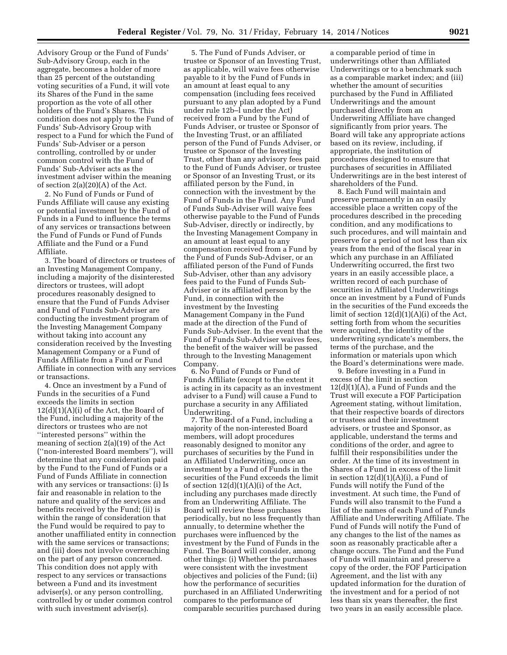Advisory Group or the Fund of Funds' Sub-Advisory Group, each in the aggregate, becomes a holder of more than 25 percent of the outstanding voting securities of a Fund, it will vote its Shares of the Fund in the same proportion as the vote of all other holders of the Fund's Shares. This condition does not apply to the Fund of Funds' Sub-Advisory Group with respect to a Fund for which the Fund of Funds' Sub-Adviser or a person controlling, controlled by or under common control with the Fund of Funds' Sub-Adviser acts as the investment adviser within the meaning of section 2(a)(20)(A) of the Act.

2. No Fund of Funds or Fund of Funds Affiliate will cause any existing or potential investment by the Fund of Funds in a Fund to influence the terms of any services or transactions between the Fund of Funds or Fund of Funds Affiliate and the Fund or a Fund Affiliate.

3. The board of directors or trustees of an Investing Management Company, including a majority of the disinterested directors or trustees, will adopt procedures reasonably designed to ensure that the Fund of Funds Adviser and Fund of Funds Sub-Adviser are conducting the investment program of the Investing Management Company without taking into account any consideration received by the Investing Management Company or a Fund of Funds Affiliate from a Fund or Fund Affiliate in connection with any services or transactions.

4. Once an investment by a Fund of Funds in the securities of a Fund exceeds the limits in section  $12(d)(1)(A)(i)$  of the Act, the Board of the Fund, including a majority of the directors or trustees who are not ''interested persons'' within the meaning of section 2(a)(19) of the Act (''non-interested Board members''), will determine that any consideration paid by the Fund to the Fund of Funds or a Fund of Funds Affiliate in connection with any services or transactions: (i) Is fair and reasonable in relation to the nature and quality of the services and benefits received by the Fund; (ii) is within the range of consideration that the Fund would be required to pay to another unaffiliated entity in connection with the same services or transactions; and (iii) does not involve overreaching on the part of any person concerned. This condition does not apply with respect to any services or transactions between a Fund and its investment adviser(s), or any person controlling, controlled by or under common control with such investment adviser(s).

5. The Fund of Funds Adviser, or trustee or Sponsor of an Investing Trust, as applicable, will waive fees otherwise payable to it by the Fund of Funds in an amount at least equal to any compensation (including fees received pursuant to any plan adopted by a Fund under rule 12b–l under the Act) received from a Fund by the Fund of Funds Adviser, or trustee or Sponsor of the Investing Trust, or an affiliated person of the Fund of Funds Adviser, or trustee or Sponsor of the Investing Trust, other than any advisory fees paid to the Fund of Funds Adviser, or trustee or Sponsor of an Investing Trust, or its affiliated person by the Fund, in connection with the investment by the Fund of Funds in the Fund. Any Fund of Funds Sub-Adviser will waive fees otherwise payable to the Fund of Funds Sub-Adviser, directly or indirectly, by the Investing Management Company in an amount at least equal to any compensation received from a Fund by the Fund of Funds Sub-Adviser, or an affiliated person of the Fund of Funds Sub-Adviser, other than any advisory fees paid to the Fund of Funds Sub-Adviser or its affiliated person by the Fund, in connection with the investment by the Investing Management Company in the Fund made at the direction of the Fund of Funds Sub-Adviser. In the event that the Fund of Funds Sub-Adviser waives fees, the benefit of the waiver will be passed through to the Investing Management Company.

6. No Fund of Funds or Fund of Funds Affiliate (except to the extent it is acting in its capacity as an investment adviser to a Fund) will cause a Fund to purchase a security in any Affiliated Underwriting.

7. The Board of a Fund, including a majority of the non-interested Board members, will adopt procedures reasonably designed to monitor any purchases of securities by the Fund in an Affiliated Underwriting, once an investment by a Fund of Funds in the securities of the Fund exceeds the limit of section  $12(d)(1)(A)(i)$  of the Act, including any purchases made directly from an Underwriting Affiliate. The Board will review these purchases periodically, but no less frequently than annually, to determine whether the purchases were influenced by the investment by the Fund of Funds in the Fund. The Board will consider, among other things: (i) Whether the purchases were consistent with the investment objectives and policies of the Fund; (ii) how the performance of securities purchased in an Affiliated Underwriting compares to the performance of comparable securities purchased during

a comparable period of time in underwritings other than Affiliated Underwritings or to a benchmark such as a comparable market index; and (iii) whether the amount of securities purchased by the Fund in Affiliated Underwritings and the amount purchased directly from an Underwriting Affiliate have changed significantly from prior years. The Board will take any appropriate actions based on its review, including, if appropriate, the institution of procedures designed to ensure that purchases of securities in Affiliated Underwritings are in the best interest of shareholders of the Fund.

8. Each Fund will maintain and preserve permanently in an easily accessible place a written copy of the procedures described in the preceding condition, and any modifications to such procedures, and will maintain and preserve for a period of not less than six years from the end of the fiscal year in which any purchase in an Affiliated Underwriting occurred, the first two years in an easily accessible place, a written record of each purchase of securities in Affiliated Underwritings once an investment by a Fund of Funds in the securities of the Fund exceeds the limit of section 12(d)(1)(A)(i) of the Act, setting forth from whom the securities were acquired, the identity of the underwriting syndicate's members, the terms of the purchase, and the information or materials upon which the Board's determinations were made.

9. Before investing in a Fund in excess of the limit in section 12(d)(1)(A), a Fund of Funds and the Trust will execute a FOF Participation Agreement stating, without limitation, that their respective boards of directors or trustees and their investment advisers, or trustee and Sponsor, as applicable, understand the terms and conditions of the order, and agree to fulfill their responsibilities under the order. At the time of its investment in Shares of a Fund in excess of the limit in section  $12(d)(1)(A)(i)$ , a Fund of Funds will notify the Fund of the investment. At such time, the Fund of Funds will also transmit to the Fund a list of the names of each Fund of Funds Affiliate and Underwriting Affiliate. The Fund of Funds will notify the Fund of any changes to the list of the names as soon as reasonably practicable after a change occurs. The Fund and the Fund of Funds will maintain and preserve a copy of the order, the FOF Participation Agreement, and the list with any updated information for the duration of the investment and for a period of not less than six years thereafter, the first two years in an easily accessible place.